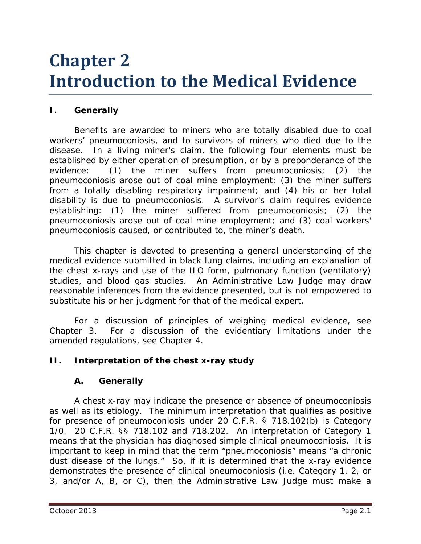# **Chapter 2 Introduction to the Medical Evidence**

# **I. Generally**

Benefits are awarded to miners who are totally disabled due to coal workers' pneumoconiosis, and to survivors of miners who died due to the disease. In a living miner's claim, the following four elements must be established by either operation of presumption, or by a preponderance of the evidence: (1) the miner suffers from pneumoconiosis; (2) the pneumoconiosis arose out of coal mine employment; (3) the miner suffers from a totally disabling respiratory impairment; and (4) his or her total disability is due to pneumoconiosis. A survivor's claim requires evidence establishing: (1) the miner suffered from pneumoconiosis; (2) the pneumoconiosis arose out of coal mine employment; and (3) coal workers' pneumoconiosis caused, or contributed to, the miner's death.

This chapter is devoted to presenting a general understanding of the medical evidence submitted in black lung claims, including an explanation of the chest x-rays and use of the ILO form, pulmonary function (ventilatory) studies, and blood gas studies. An Administrative Law Judge may draw reasonable inferences from the evidence presented, but is not empowered to substitute his or her judgment for that of the medical expert.

For a discussion of principles of weighing medical evidence, *see* Chapter 3. For a discussion of the evidentiary limitations under the amended regulations, *see* Chapter 4.

# **II. Interpretation of the chest x-ray study**

## **A. Generally**

A chest x-ray may indicate the presence or absence of pneumoconiosis as well as its etiology. The minimum interpretation that qualifies as positive for presence of pneumoconiosis under 20 C.F.R. § 718.102(b) is Category 1/0. 20 C.F.R. §§ 718.102 and 718.202. An interpretation of Category 1 means that the physician has diagnosed *simple* clinical pneumoconiosis. It is important to keep in mind that the term "pneumoconiosis" means "a chronic dust disease of the lungs." So, if it is determined that the x-ray evidence demonstrates the presence of clinical pneumoconiosis (*i.e.* Category 1, 2, or 3, and/or A, B, or C), then the Administrative Law Judge must make a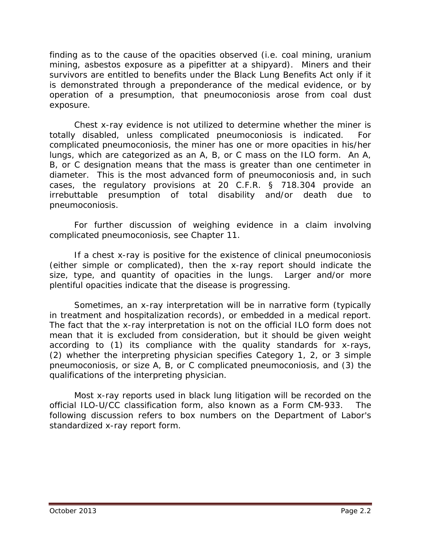finding as to the cause of the opacities observed (*i.e.* coal mining, uranium mining, asbestos exposure as a pipefitter at a shipyard). Miners and their survivors are entitled to benefits under the Black Lung Benefits Act only if it is demonstrated through a preponderance of the medical evidence, or by operation of a presumption, that pneumoconiosis arose from coal dust exposure.

Chest x-ray evidence is not utilized to determine whether the miner is totally disabled, unless complicated pneumoconiosis is indicated. For complicated pneumoconiosis, the miner has one or more opacities in his/her lungs, which are categorized as an A, B, or C mass on the ILO form. An A, B, or C designation means that the mass is greater than one centimeter in diameter. This is the most advanced form of pneumoconiosis and, in such cases, the regulatory provisions at 20 C.F.R. § 718.304 provide an irrebuttable presumption of total disability and/or death due to pneumoconiosis.

For further discussion of weighing evidence in a claim involving complicated pneumoconiosis, *see* Chapter 11.

If a chest x-ray is positive for the existence of clinical pneumoconiosis (either simple or complicated), then the x-ray report should indicate the size, type, and quantity of opacities in the lungs. Larger and/or more plentiful opacities indicate that the disease is progressing.

Sometimes, an x-ray interpretation will be in narrative form (typically in treatment and hospitalization records), or embedded in a medical report. The fact that the x-ray interpretation is not on the official ILO form does not mean that it is excluded from consideration, but it should be given weight according to (1) its compliance with the quality standards for x-rays, (2) whether the interpreting physician specifies Category 1, 2, or 3 simple pneumoconiosis, or size A, B, or C complicated pneumoconiosis, and (3) the qualifications of the interpreting physician.

Most x-ray reports used in black lung litigation will be recorded on the official ILO-U/CC classification form, also known as a Form CM-933. The following discussion refers to box numbers on the Department of Labor's standardized x-ray report form.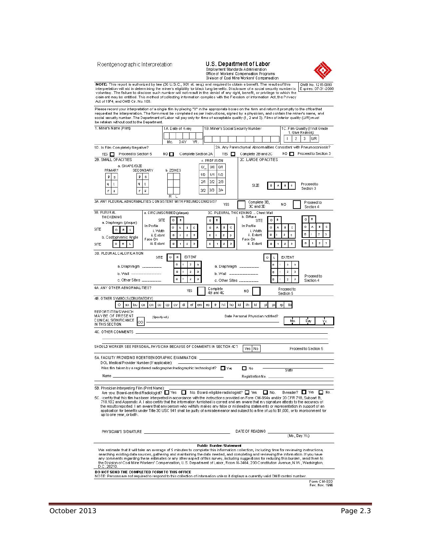Roentgenographic Interpretation

Act of 1974, and OMB Cir. No. 108.

3D. PLEURAL CALCIFICATION

# U.S. Department of Labor Construction Standards Administration<br>Office of Workers' Compensation Programs<br>Division of Coal Mine Workers' Compensation

 $\mathbf{L}$ EXTENT

 $\circ$ 



NOTE: This report is authorized by law (30 U.S.C., 901 et. seq.) and required to obtain a benefit. The results of this (0MB No. 1215-0090)<br>interpretation will aid in determining the miner's eligibility for black lung benef

Please record your interpretation of a single film by placing "X" in the appropriate boxes on the form and return it promptly to the office that<br>requested the interpretation. The form must be completed as per instructions, 1. Miner's Name (Print) 1A. Date of X-ray 1B. Miner's Social Security Number 1C. Film Quality (If not Grade<br>1. Give Reason):  $1 \mid 2 \mid 3 \mid$  U/R Mo. **DAY** YR. 2A. Any Parenchymal Abnom alities Consistent with Pneumoconiosis? 1D. Is Film Completely Negative? YES Proceed to Section 5 NO | Complete Section 2A NO Proceed to Section 3 2B. SMALL OP ACITIES 2C. LARGE OP ACITIES c. PROFUSION REL OF ACTRES<br>a. SHAPE/SIZE<br>PRMARY SECON  $0/$  0/0 0/1 SECONDARY b. ZONES

|                                                               |                           |         |  | 1/0 | 1/1     | 1/2        |    |                                    |         |   |                |  |          |                         |    |  |
|---------------------------------------------------------------|---------------------------|---------|--|-----|---------|------------|----|------------------------------------|---------|---|----------------|--|----------|-------------------------|----|--|
| n<br>s                                                        | n<br>s                    |         |  |     |         |            |    |                                    |         |   |                |  |          |                         |    |  |
| q                                                             | q                         |         |  | 2M  | 2/2     | 2/3        |    | SIZE                               |         |   |                |  |          | Proceedto               |    |  |
| ×.<br>п                                                       | и                         |         |  | 3/2 | 3/3     | 3/4        |    |                                    |         |   |                |  |          | Section 3               |    |  |
| 3A, ANY PLEURAL ABNORMALITIES CONSISTENT WITH PNEUMOCONIOSIS? |                           | R       |  |     |         | <b>YES</b> |    | Complete 3B,<br>3C and 3D          |         |   | NO             |  |          | Proceed to<br>Section 4 |    |  |
| 38. PLEURAL                                                   | a. CIRCUMSCRIBED (plaque) |         |  |     |         |            |    | 3C. PLEURAL THICKENING  Chest Wall |         |   |                |  |          |                         |    |  |
| <b>THICKENING</b><br>a. Diaphragm (plaque)                    | SITE                      | o       |  |     | $\circ$ |            |    | b. Diffuse<br><b>SITE</b>          | $\circ$ |   |                |  | $\Omega$ | R                       |    |  |
| SITE<br>o                                                     | In Profile<br>i. Width    | $\circ$ |  | c.  | o       |            | C. | In Profile<br>i. Width             | n.      | А |                |  | $\circ$  |                         |    |  |
| b. Costophrenic Angle                                         | ii. Extent                | п       |  | з   | л       |            |    | ii. Extent                         | л       |   | $\overline{2}$ |  |          |                         | ×. |  |
| SITE<br>o<br>R                                                | Face On<br>iii. Extent    |         |  | з   |         |            |    | Face On<br>iii. Extent             |         |   |                |  | п        |                         |    |  |
|                                                               |                           |         |  |     |         |            |    |                                    |         |   |                |  |          |                         |    |  |

SITE OR EXTENT

|                                                                                                                                                                                                                                                                                                                     | п         |    | z   | э  |                       | a. Diaphragm _________ |                                   |    |           |    |    | $\Box$ |   | z                       | э   |                                                                                           |     |
|---------------------------------------------------------------------------------------------------------------------------------------------------------------------------------------------------------------------------------------------------------------------------------------------------------------------|-----------|----|-----|----|-----------------------|------------------------|-----------------------------------|----|-----------|----|----|--------|---|-------------------------|-----|-------------------------------------------------------------------------------------------|-----|
| b. Wall ---------------                                                                                                                                                                                                                                                                                             | ۰         |    |     | в  |                       | b. Wall ___________    |                                   |    |           |    |    | $\Box$ |   | $\mathbf{z}$            | в   |                                                                                           |     |
| c. Other Sites ________                                                                                                                                                                                                                                                                                             | o         |    |     | э  |                       | c. Other Sites         |                                   |    |           |    |    | $\Box$ |   | $\mathbf{z}$            | з   | Proceed to<br>Section 4                                                                   |     |
| 4A. ANY OTHER ABNORMALITIES?                                                                                                                                                                                                                                                                                        |           |    | YES |    | Complete<br>4B and 4C |                        |                                   |    | NO.       |    |    |        |   | Proceed to<br>Section 5 |     |                                                                                           |     |
| 4B. OTHER SYMBOLS (OBLIGATORY)                                                                                                                                                                                                                                                                                      |           |    |     |    |                       |                        |                                   |    |           |    |    |        |   |                         |     |                                                                                           |     |
| $ax$ bu<br>$\infty$<br>cal cn l<br>ep                                                                                                                                                                                                                                                                               | <b>CV</b> | di | ef  | em | fr.<br>es             | hi l                   | ho                                | id | ih.       | kl | юI | ЮX     | m | tb                      |     |                                                                                           |     |
| REPORT ITEMS WHICH<br>MAYBE OF PRESENT<br>(Specify od.)<br>CUNICAL SIGNIFICANCE OD<br>IN THIS SECTION.                                                                                                                                                                                                              |           |    |     |    |                       |                        | Date Personal Physician notified? |    |           |    |    |        |   |                         | Mo. | Day                                                                                       | Yr. |
| 4C. OTHER COMMENTS<br><u> 1989 - Johann Stein, mars an deutscher Stein und der Stein und der Stein und der Stein und der Stein und der</u><br>SHOULD WORKER SEE PERSONAL PHYSICIAN BECAUSE OF COMMENTS IN SECTION 4C?                                                                                               |           |    |     |    |                       |                        |                                   |    | Yes No    |    |    |        |   |                         |     | Proceed to Section 5                                                                      |     |
| 5A. FACILITY PROVIDING ROENTGENOGRAPHIC EXAMINATION: ___________________________                                                                                                                                                                                                                                    |           |    |     |    |                       |                        |                                   |    |           |    |    |        |   |                         |     |                                                                                           |     |
| Was film taken by a registered radiographer/radiographic technologist? $\Box$ Yes<br>Name and the contract of the contract of the contract of the contract of the contract of the contract of the contract of the contract of the contract of the contract of the contract of the contract of the contract of the c |           |    |     |    |                       |                        |                                   |    | $\Box$ No |    |    |        |   | State                   |     | Registration No. 2008 - Contractor Contractor Contractor Contractor Contractor Contractor |     |
| 5B. Physician Interpreting Film (Print Name):<br>Are you: Board-certified Radiologist? □ Yes □ No. Board-eligible radiologist? □ Yes □ No.<br>5C. Feertify that this film has been interpreted in accordance with the instructions provided on Form CM-954a and/or 20 CFR 718, Subpart B,                           |           |    |     |    |                       |                        |                                   |    |           |    |    |        |   |                         |     | B-reader? □ Yes<br>п                                                                      | No. |
| DOL Medical Provider Number (If applicable):<br>718.102 and Appendix A. I also certify that the information furnished is correct and am aware that my signature attests to the accuracy of                                                                                                                          |           |    |     |    |                       |                        |                                   |    |           |    |    |        |   |                         |     |                                                                                           |     |

718.1U2 and Appendix A. I also certify that the information furnished is correct and am aware that my signature attests to the accuracy of<br>the results reported. I am aware that any person who willfully makes any false or m

| PHYSICIAN'S SIGNATURE.                         | DATE OF READING                                                                                                                                                                                                                                                                                                                                                                                                                                                                                                                                                     |
|------------------------------------------------|---------------------------------------------------------------------------------------------------------------------------------------------------------------------------------------------------------------------------------------------------------------------------------------------------------------------------------------------------------------------------------------------------------------------------------------------------------------------------------------------------------------------------------------------------------------------|
|                                                | (Mo., Day. Yr.).                                                                                                                                                                                                                                                                                                                                                                                                                                                                                                                                                    |
|                                                | <b>Public Burden Statement</b>                                                                                                                                                                                                                                                                                                                                                                                                                                                                                                                                      |
| D.C. 20210.                                    | We estimate that it will take an average of 5 minutes to complete this information collection, including time for reviewing instructions,<br>searching existing data sources, gathering and maintaining the data needed, and completing and reviewing the information. If you have<br>any comments regarding these estimates or any other aspect of this survey, including suggestions for reducing this burden, send them to<br>the Division of Coal Mine Workers' Compensation, U.S. Department of Labor, Room N-3464, 200 Constitution Avenue, N.W., Washington, |
| DO NOT SEND THE COMPLETED FORM TO THIS OFFICE. | NOTE: Persons are not required to respond to this collection of information unless it displays a currently valid OMB control number.                                                                                                                                                                                                                                                                                                                                                                                                                                |

Form CM-933<br>Rev. Nov. 1996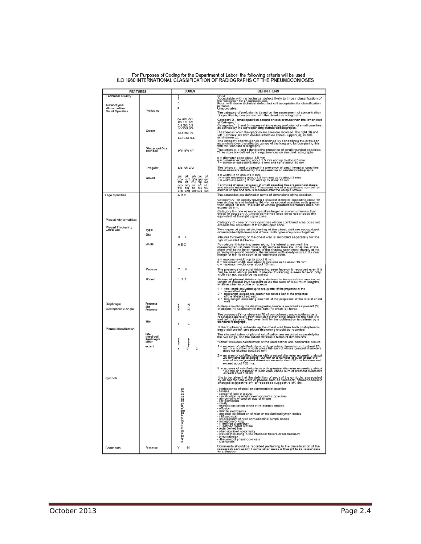| <b>FEATURES</b>                  |                              | CODES                                                             | <b>DEFINITIONS</b>                                                                                                                                                                                                                                                                          |  |  |  |  |  |  |  |
|----------------------------------|------------------------------|-------------------------------------------------------------------|---------------------------------------------------------------------------------------------------------------------------------------------------------------------------------------------------------------------------------------------------------------------------------------------|--|--|--|--|--|--|--|
| <b>Technical Quality</b>         |                              | ż                                                                 |                                                                                                                                                                                                                                                                                             |  |  |  |  |  |  |  |
| Parenchymal                      |                              | 3<br>4                                                            | Good.<br>Acceptable with no technical defect likely to impair classification of<br>the radiograph for pneumoconiosis.<br>purposes.<br>Pracceptable.<br>Unacceptable.                                                                                                                        |  |  |  |  |  |  |  |
| Abnormalities<br>Small Opacities | Profusion                    |                                                                   | The category of profusion is based on the assessment of concentration<br>of opacities by comparison with the standard radiographs.                                                                                                                                                          |  |  |  |  |  |  |  |
|                                  |                              | 0/- 0/0 0/1<br>1/0 1/1 1/2                                        |                                                                                                                                                                                                                                                                                             |  |  |  |  |  |  |  |
|                                  |                              | 2/1 2/2 2/3<br>3/2 3/3 3/4                                        | Category 0 - small opacities absent or less profuse than the lower limit<br>of Category 1.<br>Categories 1, 2 and 3 - represent increasing profusion of small opacities<br>as defined by the corresponding standard radiographs.                                                            |  |  |  |  |  |  |  |
|                                  | Extent                       | <b>RU RM RL</b>                                                   | The zones in which the opacities are seen are recorded. The right (R) and<br>left (L) thorax are both divided into three zones - upper (U), middle<br>(M) and lower (L).                                                                                                                    |  |  |  |  |  |  |  |
|                                  |                              | LU LM ILL                                                         |                                                                                                                                                                                                                                                                                             |  |  |  |  |  |  |  |
|                                  | Shape and Size<br>rounded    | p/p q/q r/r                                                       | The category of profusion is determined by considering the profusion<br>as a whole over the affected zones of the lung and by comparing this<br>with the standard radiographs.                                                                                                              |  |  |  |  |  |  |  |
|                                  |                              |                                                                   | The letters p, q and r denote the presence of small rounded opacities.<br>Three sizes are defined by the appearances on standard radiographs.                                                                                                                                               |  |  |  |  |  |  |  |
|                                  |                              |                                                                   | o = diameter up to about 1.5 mm.<br>q = diameter exceeding about 1.5 mm and up to about 3 mm.<br>r = diameter exceeding about 3 mm and up to about 10 mm.                                                                                                                                   |  |  |  |  |  |  |  |
|                                  | Irregular                    | s/s t/t u/u<br>p/s<br>p/u p/g                                     | The letters s, t and u denote the presence of small irregular opacities.<br>Three sizes are defined by the appearance on standard radiographs.                                                                                                                                              |  |  |  |  |  |  |  |
|                                  | mixed                        | pA<br>ph<br>q/w<br>alt alu alp alr<br>r/s                         | s = width up to about 1.5 mm.<br>t = width exceeding about 1.5 mm and up to about 3 mm.<br>u = width exceeding 3 mm and up to about 10 mm.                                                                                                                                                  |  |  |  |  |  |  |  |
|                                  |                              | s/p s/q s/r s/t s/u<br>t/p t/q t/r t/s t/u<br>u/p u/q u/r w/s u/t | For mixed shapes (or sizes) of small opacities the predominant shape<br>and size is recorded first. The presence of a significant number or<br>another shape and size is recorded after the oblique stroke.                                                                                 |  |  |  |  |  |  |  |
| Lage Opacities                   |                              | A <sub>B</sub> C                                                  | The categories are defined in terms of dimensions of the opacities.                                                                                                                                                                                                                         |  |  |  |  |  |  |  |
|                                  |                              |                                                                   | Category A - an opacity having a greatest diameter exceeding about 10<br>mm and up to and including 50 mm, or several opacities each greater<br>than about 10 mm, the sum of whose greatest diameters does not<br>exceed 50 mm.                                                             |  |  |  |  |  |  |  |
| Pleural Abnormalities            |                              |                                                                   | Category B - cne or more opacities larger or more numerous than<br>those In category A whose combined area does not exceed the<br>equivalent of the right upper zone.                                                                                                                       |  |  |  |  |  |  |  |
| <b>Pleural Thickening</b>        |                              |                                                                   | Category C - one or more opacities whose combined area does not<br>exceeds the equivalent of the right upper zone.                                                                                                                                                                          |  |  |  |  |  |  |  |
| Chest wall                       | Type                         |                                                                   | Two types of pleural thickening of the chest wall are recognized:<br>circumscribed (plaques) and diffuse. Both types may occur together.                                                                                                                                                    |  |  |  |  |  |  |  |
|                                  | Site                         | R                                                                 | Pleural thickening of the chest wall is recorded separately for the<br>right (R) and left (L) thorax.                                                                                                                                                                                       |  |  |  |  |  |  |  |
|                                  | Width                        | ABC                                                               | For pleural thickening seen along the lateral chest wall the<br>measurement of maximum width is made from the inner line of the<br>chest wall to the inner margin of the shadow seen most sharply at the<br>parenchyriel-pleural bounde                                                     |  |  |  |  |  |  |  |
|                                  |                              |                                                                   | a = maximum width up to about 5 mm.<br>b = maximum width over about 5 mm and up to about 10 mm.<br>c = maximum width over about 10 mm.<br>å                                                                                                                                                 |  |  |  |  |  |  |  |
|                                  | Face on                      | N                                                                 | The presence of pleural thickening seen face-on is recorded even if it<br>can be seen also in profile. If pleural thickening is seen face-on only,<br>width can not usually be measured.                                                                                                    |  |  |  |  |  |  |  |
|                                  | Extent                       | 123                                                               | Extent of pleural thickening is defined in terms of the maximum<br>length of pleural involvement or as the sum of maximum lengths,<br>whether seen in profile or face-on                                                                                                                    |  |  |  |  |  |  |  |
|                                  |                              |                                                                   | total length equivalent up to one quarter of the projection of the<br>lateral chest wall.<br>total length exceed one quarter but not one half of the projection<br>of the lateral chest wall.<br>1:<br>2.1<br>3.1<br>total length exceeding one half of the projection of the lateral chest |  |  |  |  |  |  |  |
| Diaphragm<br>Costophrenic Angle  | Presence<br>Site<br>Presence | Ŗ                                                                 | A plaque involving the diaphragmatic pleura is recorded as present (Y) or absent (N) separately for the right (R) or left (L) thorax.                                                                                                                                                       |  |  |  |  |  |  |  |
|                                  |                              |                                                                   | The presence (Y) or absence (N) of costophrenic angle obliteration is<br>recorded separately from thickening over other areas for the right (R)<br>and left (L) thorax. The lower limit for the obliteration is defined by a<br>standar                                                     |  |  |  |  |  |  |  |
| Pleural classification           | Site                         | R                                                                 | If the thickening extends up the chest wall then both costophrenic<br>angle obliteration and pleura thickening should be recorded.                                                                                                                                                          |  |  |  |  |  |  |  |
|                                  | Site<br>chest wall           |                                                                   | The site and extent of pleural calcification are recorded separately for<br>the two lungs, and the extent defined in terms of dimensions.                                                                                                                                                   |  |  |  |  |  |  |  |
|                                  | diaphragm<br>other           | RRR                                                               | "Other" includes calcification of the mediastinal and pericardial pleura.                                                                                                                                                                                                                   |  |  |  |  |  |  |  |
|                                  | extent                       | ū<br>$\overline{2}$<br>3<br>1                                     | 1 = an area of calcified pleura with greatest diameter up to about 20<br>mm or a number of such areas the sum of whose greatest diameters<br>does not exceed about 20 mm.                                                                                                                   |  |  |  |  |  |  |  |
|                                  |                              |                                                                   | an area of calcified pleura with greatest diameter exceeding about<br>20 mm and up to about 100 mm cr a number of such areas the<br>sum of whose greatest diameters exceeds about 20 mm but does not<br>$2 =$<br>exceed about 100 mm.                                                       |  |  |  |  |  |  |  |
|                                  |                              |                                                                   | 3 = an area of calcified pleura with greatest diameter exceeding about<br>100 mm or a number of such area whose sum of greatest diameters<br>exceeds about 100 mm.                                                                                                                          |  |  |  |  |  |  |  |
| Symbols                          |                              |                                                                   | It is to be taken that the definition of such of the symbols is preceded<br>by an appropriate word or phrase such as "suspect", "pneumoconiotic<br>changes suggestive of", or "opacities suggestive of", etc.                                                                               |  |  |  |  |  |  |  |
|                                  |                              | bu                                                                | coalescence of small pneumoconiotic opacities<br>$ - $ bulla $(e)$                                                                                                                                                                                                                          |  |  |  |  |  |  |  |
|                                  |                              | ca<br>cn                                                          | cancer of lung of pleura<br>onictic opacities                                                                                                                                                                                                                                               |  |  |  |  |  |  |  |
|                                  |                              | င္မေ<br>cy                                                        | calcification in small pneumoconicti<br>abnormality of cardiac size of shape<br>cor pulmonale<br>- marked distortion of the intrathoracic organs                                                                                                                                            |  |  |  |  |  |  |  |
|                                  |                              | ef<br>em                                                          | effusion<br>definite emphysema<br>eggshell calcification of hilar or mediastinal lymph nodes                                                                                                                                                                                                |  |  |  |  |  |  |  |
|                                  |                              |                                                                   |                                                                                                                                                                                                                                                                                             |  |  |  |  |  |  |  |
|                                  |                              | 하고 동고 조 고 있는 유                                                    | - sygmetrication and or mer or mediastrial tymperior<br>- and arguments of hilar or mediastrial lumph nodes<br>- India completed and the mediastrial lumph nodes<br>- III defined diaphragm<br>- septal (terley) inte                                                                       |  |  |  |  |  |  |  |
|                                  |                              |                                                                   | - other significant abnormality<br>- pleural thickening in the interiobar fissure or madiastinum                                                                                                                                                                                            |  |  |  |  |  |  |  |
|                                  |                              |                                                                   | pneurnathorax<br>- rtheumatoid pneumoconiosis<br>- tuberculosis                                                                                                                                                                                                                             |  |  |  |  |  |  |  |
| Comments                         | Presence                     | Υ<br>N                                                            | Comments should be recorded pertaining to the classification of the<br>radiograph particularly if some other cause is thought to be responsible<br>for a shadow.                                                                                                                            |  |  |  |  |  |  |  |

For Purposes of Coding for the Department of Labor, the following criteria will be used<br>ILO 1980 INTERNATIONAL CLASSIFICATION OF RADIOGRAPHS OF THE PNEUMOCONIOSES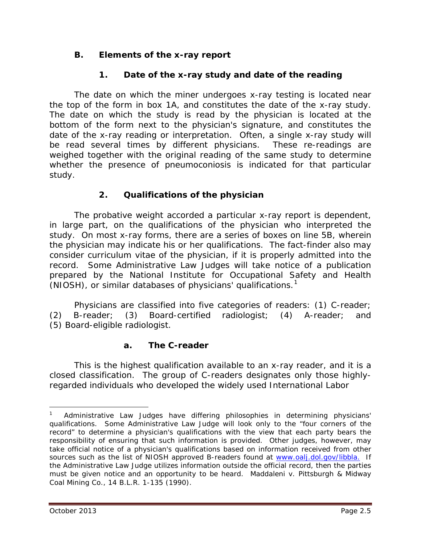## **B. Elements of the x-ray report**

# **1. Date of the x-ray study and date of the reading**

The date on which the miner undergoes x-ray testing is located near the top of the form in box 1A, and constitutes the date of the x-ray study. The date on which the study is read by the physician is located at the bottom of the form next to the physician's signature, and constitutes the date of the x-ray reading or interpretation. Often, a single x-ray study will be read several times by different physicians. These re-readings are weighed together with the original reading of the same study to determine whether the presence of pneumoconiosis is indicated for that particular study.

## **2. Qualifications of the physician**

The probative weight accorded a particular x-ray report is dependent, in large part, on the qualifications of the physician who interpreted the study. On most x-ray forms, there are a series of boxes on line 5B, wherein the physician may indicate his or her qualifications. The fact-finder also may consider *curriculum vitae* of the physician, if it is properly admitted into the record. Some Administrative Law Judges will take notice of a publication prepared by the National Institute for Occupational Safety and Health (NIOSH), or similar databases of physicians' qualifications.<sup>[1](#page-4-0)</sup>

Physicians are classified into five categories of readers: (1) C-reader; (2) B-reader; (3) Board-certified radiologist; (4) A-reader; and (5) Board-eligible radiologist.

## **a. The C-reader**

This is the highest qualification available to an x-ray reader, and it is a closed classification. The group of C-readers designates only those highlyregarded individuals who developed the widely used International Labor

 $\overline{a}$ 

<span id="page-4-0"></span><sup>1</sup> Administrative Law Judges have differing philosophies in determining physicians' qualifications. Some Administrative Law Judge will look only to the "four corners of the record" to determine a physician's qualifications with the view that each party bears the responsibility of ensuring that such information is provided. Other judges, however, may take official notice of a physician's qualifications based on information received from other sources such as the list of NIOSH approved B-readers found at www.oalj.dol.gov/libbla. If the Administrative Law Judge utilizes information outside the official record, then the parties must be given notice and an opportunity to be heard. *Maddaleni v. Pittsburgh & Midway Coal Mining Co.*, 14 B.L.R. 1-135 (1990).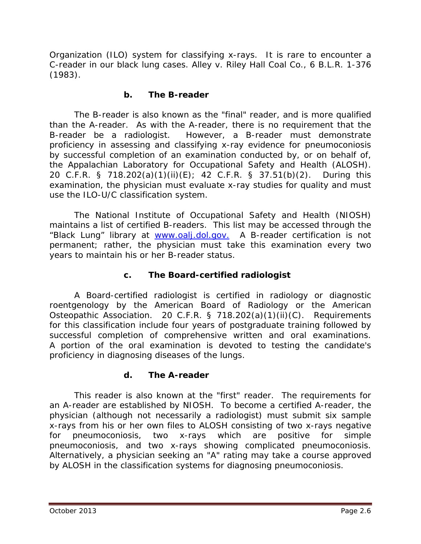Organization (ILO) system for classifying x-rays. It is rare to encounter a C-reader in our black lung cases. *Alley v. Riley Hall Coal Co.*, 6 B.L.R. 1-376 (1983).

#### **b. The B-reader**

The B-reader is also known as the "final" reader, and is more qualified than the A-reader. As with the A-reader, there is no requirement that the B-reader be a radiologist. However, a B-reader must demonstrate proficiency in assessing and classifying x-ray evidence for pneumoconiosis by successful completion of an examination conducted by, or on behalf of, the Appalachian Laboratory for Occupational Safety and Health (ALOSH). 20 C.F.R. § 718.202(a)(1)(ii)(E); 42 C.F.R. § 37.51(b)(2). During this examination, the physician must evaluate x-ray studies for quality and must use the ILO-U/C classification system.

The National Institute of Occupational Safety and Health (NIOSH) maintains a list of certified B-readers. This list may be accessed through the "Black Lung" library at [www.oalj.dol.gov.](http://www.oalj.dol.gov/) A B-reader certification is not permanent; rather, the physician must take this examination every two years to maintain his or her B-reader status.

## **c. The Board-certified radiologist**

A Board-certified radiologist is certified in radiology or diagnostic roentgenology by the American Board of Radiology or the American Osteopathic Association. 20 C.F.R. § 718.202(a)(1)(ii)(C). Requirements for this classification include four years of postgraduate training followed by successful completion of comprehensive written and oral examinations. A portion of the oral examination is devoted to testing the candidate's proficiency in diagnosing diseases of the lungs.

## **d. The A-reader**

This reader is also known at the "first" reader. The requirements for an A-reader are established by NIOSH. To become a certified A-reader, the physician (although not necessarily a radiologist) must submit six sample x-rays from his or her own files to ALOSH consisting of two x-rays negative for pneumoconiosis, two x-rays which are positive for simple pneumoconiosis, and two x-rays showing complicated pneumoconiosis. Alternatively, a physician seeking an "A" rating may take a course approved by ALOSH in the classification systems for diagnosing pneumoconiosis.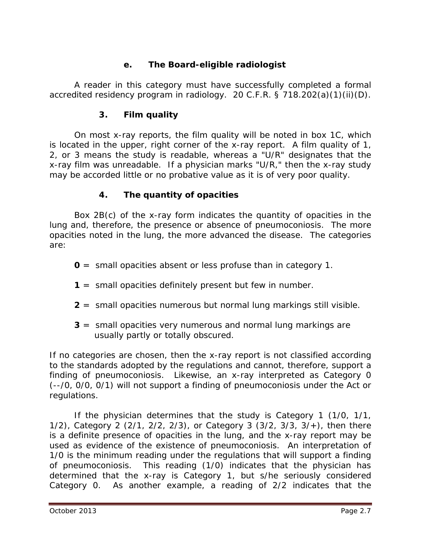# **e. The Board-eligible radiologist**

A reader in this category must have successfully completed a formal accredited residency program in radiology. 20 C.F.R. § 718.202(a)(1)(ii)(D).

#### **3. Film quality**

On most x-ray reports, the film quality will be noted in box 1C, which is located in the upper, right corner of the x-ray report. A film quality of 1, 2, or 3 means the study is readable, whereas a "U/R" designates that the x-ray film was unreadable. If a physician marks "U/R," then the x-ray study may be accorded little or no probative value as it is of very poor quality.

# **4. The quantity of opacities**

Box 2B(c) of the x-ray form indicates the quantity of opacities in the lung and, therefore, the presence or absence of pneumoconiosis. The more opacities noted in the lung, the more advanced the disease. The categories are:

- **0** = small opacities absent or less profuse than in category 1.
- **1** = small opacities definitely present but few in number.
- **2** = small opacities numerous but normal lung markings still visible.
- **3** = small opacities very numerous and normal lung markings are usually partly or totally obscured.

If no categories are chosen, then the x-ray report is not classified according to the standards adopted by the regulations and cannot, therefore, support a finding of pneumoconiosis. Likewise, an x-ray interpreted as Category 0 (--/0, 0/0, 0/1) will not support a finding of pneumoconiosis under the Act or regulations.

If the physician determines that the study is Category 1 (1/0, 1/1, 1/2), Category 2 (2/1, 2/2, 2/3), or Category 3 (3/2, 3/3, 3/+), then there is a definite presence of opacities in the lung, and the x-ray report may be used as evidence of the existence of pneumoconiosis. An interpretation of 1/0 is the minimum reading under the regulations that will support a finding of pneumoconiosis. This reading (1/0) indicates that the physician has determined that the x-ray is Category 1, but s/he seriously considered Category 0. As another example, a reading of 2/2 indicates that the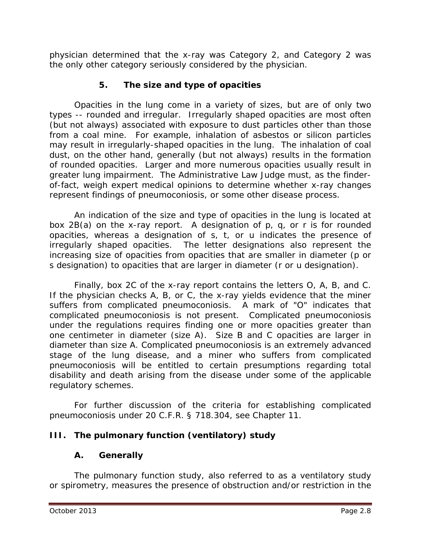physician determined that the x-ray was Category 2, and Category 2 was the only other category seriously considered by the physician.

# **5. The size and type of opacities**

Opacities in the lung come in a variety of sizes, but are of only two types -- rounded and irregular. Irregularly shaped opacities are most often (but not always) associated with exposure to dust particles other than those from a coal mine. For example, inhalation of asbestos or silicon particles may result in irregularly-shaped opacities in the lung. The inhalation of coal dust, on the other hand, generally (but not always) results in the formation of rounded opacities. Larger and more numerous opacities usually result in greater lung impairment. The Administrative Law Judge must, as the finderof-fact, weigh expert medical opinions to determine whether x-ray changes represent findings of pneumoconiosis, or some other disease process.

An indication of the size and type of opacities in the lung is located at box 2B(a) on the x-ray report. A designation of p, q, or r is for *rounded opacities*, whereas a designation of s, t, or u indicates the presence of *irregularly shaped opacities*. The letter designations also represent the increasing size of opacities from opacities that are smaller in diameter (p or s designation) to opacities that are larger in diameter (r or u designation).

Finally, box 2C of the x-ray report contains the letters O, A, B, and C. If the physician checks A, B, or C, the x-ray yields evidence that the miner suffers from complicated pneumoconiosis. A mark of "O" indicates that complicated pneumoconiosis is not present. Complicated pneumoconiosis under the regulations requires finding one or more opacities greater than one centimeter in diameter (size A). Size B and C opacities are larger in diameter than size A. Complicated pneumoconiosis is an extremely advanced stage of the lung disease, and a miner who suffers from complicated pneumoconiosis will be entitled to certain presumptions regarding total disability and death arising from the disease under some of the applicable regulatory schemes.

For further discussion of the criteria for establishing complicated pneumoconiosis under 20 C.F.R. § 718.304, *see* Chapter 11.

## **III. The pulmonary function (ventilatory) study**

## **A. Generally**

The pulmonary function study, also referred to as a ventilatory study or spirometry, measures the presence of obstruction and/or restriction in the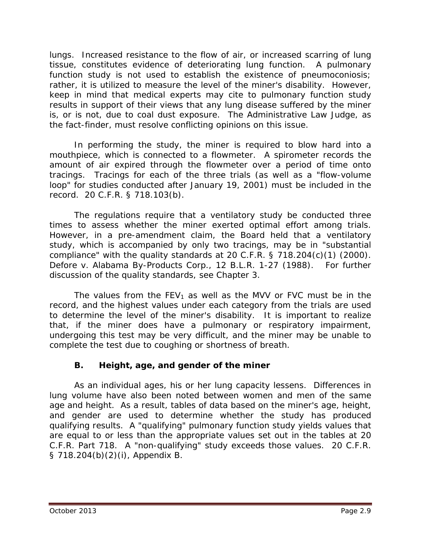lungs. Increased resistance to the flow of air, or increased scarring of lung tissue, constitutes evidence of deteriorating lung function. A pulmonary function study is not used to establish the existence of pneumoconiosis; rather, it is utilized to measure the level of the miner's disability. However, keep in mind that medical experts may cite to pulmonary function study results in support of their views that any lung disease suffered by the miner is, or is not, due to coal dust exposure. The Administrative Law Judge, as the fact-finder, must resolve conflicting opinions on this issue.

In performing the study, the miner is required to blow hard into a mouthpiece, which is connected to a flowmeter. A spirometer records the amount of air expired through the flowmeter over a period of time onto tracings. Tracings for each of the three trials (as well as a "flow-volume loop" for studies conducted after January 19, 2001) must be included in the record. 20 C.F.R. § 718.103(b).

The regulations require that a ventilatory study be conducted three times to assess whether the miner exerted optimal effort among trials. However, in a pre-amendment claim, the Board held that a ventilatory study, which is accompanied by only two tracings, may be in "substantial compliance" with the quality standards at 20 C.F.R. § 718.204(c)(1) (2000). *Defore v. Alabama By-Products Corp.*, 12 B.L.R. 1-27 (1988). For further discussion of the quality standards, *see* Chapter 3.

The values from the  $FEV_1$  as well as the MVV *or* FVC must be in the record, and the highest values under each category from the trials are used to determine the level of the miner's disability. It is important to realize that, if the miner does have a pulmonary or respiratory impairment, undergoing this test may be very difficult, and the miner may be unable to complete the test due to coughing or shortness of breath.

## **B. Height, age, and gender of the miner**

As an individual ages, his or her lung capacity lessens. Differences in lung volume have also been noted between women and men of the same age and height. As a result, tables of data based on the miner's age, height, and gender are used to determine whether the study has produced qualifying results. A "qualifying" pulmonary function study yields values that are equal to or less than the appropriate values set out in the tables at 20 C.F.R. Part 718. A "non-qualifying" study exceeds those values. 20 C.F.R. § 718.204(b)(2)(i), Appendix B.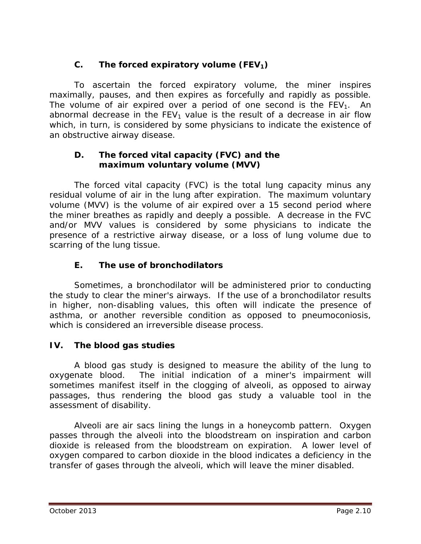# C. The forced expiratory volume  $(FEV_1)$

To ascertain the forced expiratory volume, the miner inspires maximally, pauses, and then expires as forcefully and rapidly as possible. The volume of air expired over a period of one second is the  $FEV<sub>1</sub>$ . An abnormal decrease in the  $FEV<sub>1</sub>$  value is the result of a decrease in air flow which, in turn, is considered by some physicians to indicate the existence of an *obstructive* airway disease.

## **D. The forced vital capacity (FVC) and the maximum voluntary volume (MVV)**

The forced vital capacity (FVC) is the total lung capacity minus any residual volume of air in the lung after expiration. The maximum voluntary volume (MVV) is the volume of air expired over a 15 second period where the miner breathes as rapidly and deeply a possible. A decrease in the FVC and/or MVV values is considered by some physicians to indicate the presence of a *restrictive* airway disease, or a loss of lung volume due to scarring of the lung tissue.

# **E. The use of bronchodilators**

Sometimes, a bronchodilator will be administered prior to conducting the study to clear the miner's airways. If the use of a bronchodilator results in higher, non-disabling values, this often will indicate the presence of asthma, or another reversible condition as opposed to pneumoconiosis, which is considered an irreversible disease process.

# **IV. The blood gas studies**

A blood gas study is designed to measure the ability of the lung to oxygenate blood. The initial indication of a miner's impairment will sometimes manifest itself in the clogging of alveoli, as opposed to airway passages, thus rendering the blood gas study a valuable tool in the assessment of disability.

Alveoli are air sacs lining the lungs in a honeycomb pattern. Oxygen passes through the alveoli into the bloodstream on inspiration and carbon dioxide is released from the bloodstream on expiration. A lower level of oxygen compared to carbon dioxide in the blood indicates a deficiency in the transfer of gases through the alveoli, which will leave the miner disabled.